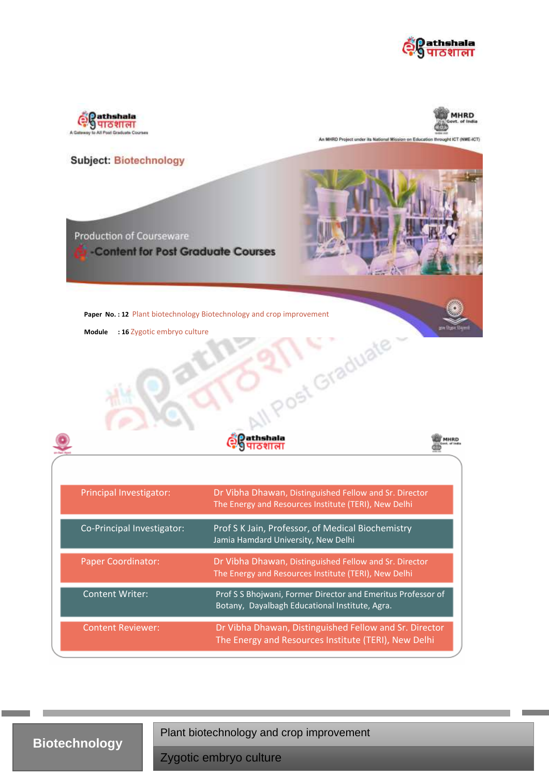





An MHRD Project under its National Mission on Education throught ICT (NME-ICT)

|                                                                                                                      | <b>Subject: Biotechnology</b><br><b>Production of Courseware</b><br>-Content for Post Graduate Courses |                                                                                                                |  |  |
|----------------------------------------------------------------------------------------------------------------------|--------------------------------------------------------------------------------------------------------|----------------------------------------------------------------------------------------------------------------|--|--|
|                                                                                                                      |                                                                                                        |                                                                                                                |  |  |
| Paper No.: 12 Plant biotechnology Biotechnology and crop improvement<br>: 16 Zygotic embryo culture<br><b>Module</b> |                                                                                                        |                                                                                                                |  |  |
|                                                                                                                      |                                                                                                        | ost Graduate<br><b>AHRD</b>                                                                                    |  |  |
|                                                                                                                      | Principal Investigator:                                                                                | Dr Vibha Dhawan, Distinguished Fellow and Sr. Director<br>The Energy and Resources Institute (TERI), New Delhi |  |  |
|                                                                                                                      | Co-Principal Investigator:                                                                             | Prof S K Jain, Professor, of Medical Biochemistry<br>Jamia Hamdard University, New Delhi                       |  |  |
|                                                                                                                      | <b>Paper Coordinator:</b>                                                                              | Dr Vibha Dhawan, Distinguished Fellow and Sr. Director<br>The Energy and Resources Institute (TERI), New Delhi |  |  |
|                                                                                                                      | <b>Content Writer:</b>                                                                                 | Prof S S Bhojwani, Former Director and Emeritus Professor of<br>Botany, Dayalbagh Educational Institute, Agra. |  |  |
|                                                                                                                      | <b>Content Reviewer:</b>                                                                               | Dr Vibha Dhawan, Distinguished Fellow and Sr. Director<br>The Energy and Resources Institute (TERI), New Delhi |  |  |

**Biotechnology**

Plant biotechnology and crop improvement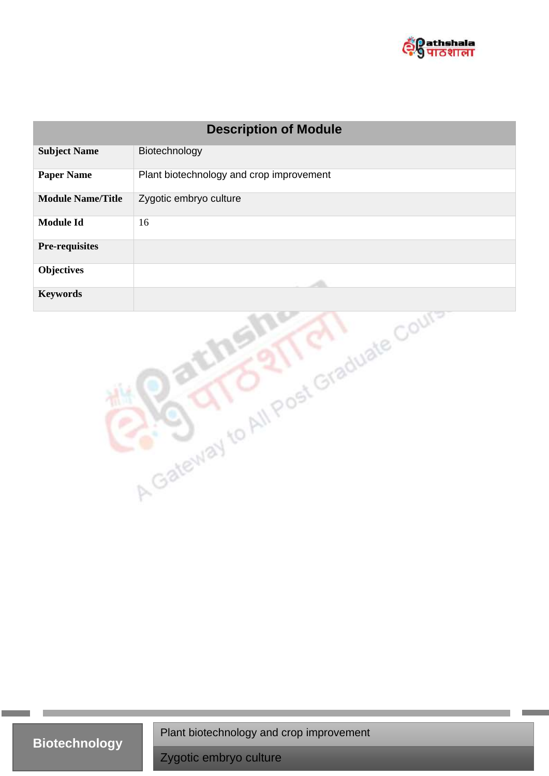

| <b>Description of Module</b>         |                                          |  |  |  |
|--------------------------------------|------------------------------------------|--|--|--|
| <b>Subject Name</b>                  | Biotechnology                            |  |  |  |
| <b>Paper Name</b>                    | Plant biotechnology and crop improvement |  |  |  |
| <b>Module Name/Title</b>             | Zygotic embryo culture                   |  |  |  |
| <b>Module Id</b>                     | 16                                       |  |  |  |
| <b>Pre-requisites</b>                |                                          |  |  |  |
| <b>Objectives</b>                    |                                          |  |  |  |
| <b>Keywords</b>                      |                                          |  |  |  |
| A Gateway to All Post Graduate Court |                                          |  |  |  |

**Biotechnology** Plant biotechnology and crop improvement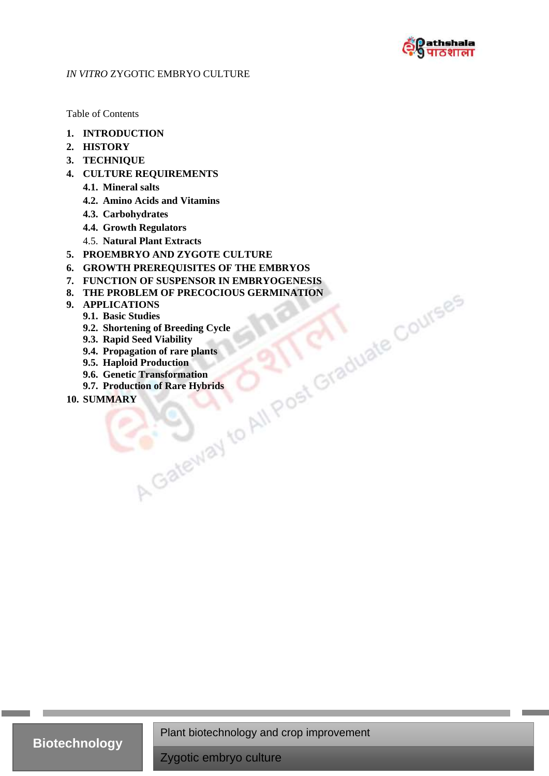

## *IN VITRO* ZYGOTIC EMBRYO CULTURE

Table of Contents

- **1. INTRODUCTION**
- **2. HISTORY**
- **3. TECHNIQUE**
- **4. CULTURE REQUIREMENTS**
	- **4.1. Mineral salts**
	- **4.2. Amino Acids and Vitamins**
	- **4.3. Carbohydrates**
	- **4.4. Growth Regulators**
	- 4.5. **Natural Plant Extracts**
- **5. PROEMBRYO AND ZYGOTE CULTURE**
- 
- **7. FUNCTION OF SUSPENSOR IN EMBRYOGENESIS**
- **6. GROWTH PREREQUISITES OF THE EMBRYOS**<br> **7. FUNCTION OF SUSEENSOR IN EMBRYOGENESIS**<br> **8. THE PROBLEM OF PRECOCIOUS GERMINATION**<br> **9. APPLICATIONS**<br> **9.2. Shortening of Breeding Cycle**<br> **9.2. Shortening of Breedin 8. THE PROBLEM OF PRECOCIOUS GERMINATION**
- **9. APPLICATIONS**
	- **9.1. Basic Studies**
	- **9.2. Shortening of Breeding Cycle**
	- **9.3. Rapid Seed Viability**
	- **9.4. Propagation of rare plants**
	- **9.5. Haploid Production**
	- **9.6. Genetic Transformation**
	- **9.7. Production of Rare Hybrids**
- **10. SUMMARY**

Plant biotechnology and crop improvement

**Biotechnology**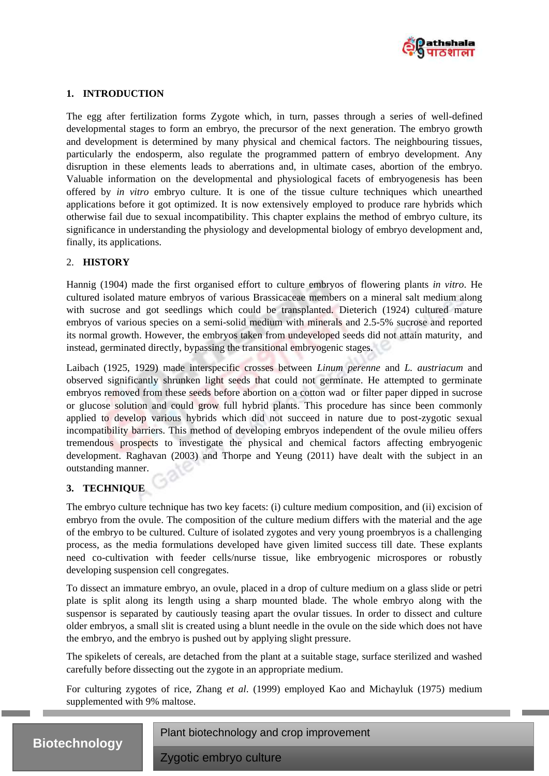

## **1. INTRODUCTION**

The egg after fertilization forms Zygote which, in turn, passes through a series of well-defined developmental stages to form an embryo, the precursor of the next generation. The embryo growth and development is determined by many physical and chemical factors. The neighbouring tissues, particularly the endosperm, also regulate the programmed pattern of embryo development. Any disruption in these elements leads to aberrations and, in ultimate cases, abortion of the embryo. Valuable information on the developmental and physiological facets of embryogenesis has been offered by *in vitro* embryo culture. It is one of the tissue culture techniques which unearthed applications before it got optimized. It is now extensively employed to produce rare hybrids which otherwise fail due to sexual incompatibility. This chapter explains the method of embryo culture, its significance in understanding the physiology and developmental biology of embryo development and, finally, its applications.

## 2. **HISTORY**

Hannig (1904) made the first organised effort to culture embryos of flowering plants *in vitro*. He cultured isolated mature embryos of various Brassicaceae members on a mineral salt medium along with sucrose and got seedlings which could be transplanted. Dieterich (1924) cultured mature embryos of various species on a semi-solid medium with minerals and 2.5-5% sucrose and reported its normal growth. However, the embryos taken from undeveloped seeds did not attain maturity, and instead, germinated directly, bypassing the transitional embryogenic stages.

Laibach (1925, 1929) made interspecific crosses between *Linum perenne* and *L. austriacum* and observed significantly shrunken light seeds that could not germinate. He attempted to germinate embryos removed from these seeds before abortion on a cotton wad or filter paper dipped in sucrose or glucose solution and could grow full hybrid plants. This procedure has since been commonly applied to develop various hybrids which did not succeed in nature due to post-zygotic sexual incompatibility barriers. This method of developing embryos independent of the ovule milieu offers tremendous prospects to investigate the physical and chemical factors affecting embryogenic development. Raghavan (2003) and Thorpe and Yeung (2011) have dealt with the subject in an outstanding manner.

## **3. TECHNIQUE**

The embryo culture technique has two key facets: (i) culture medium composition, and (ii) excision of embryo from the ovule. The composition of the culture medium differs with the material and the age of the embryo to be cultured. Culture of isolated zygotes and very young proembryos is a challenging process, as the media formulations developed have given limited success till date. These explants need co-cultivation with feeder cells/nurse tissue, like embryogenic microspores or robustly developing suspension cell congregates.

To dissect an immature embryo, an ovule, placed in a drop of culture medium on a glass slide or petri plate is split along its length using a sharp mounted blade. The whole embryo along with the suspensor is separated by cautiously teasing apart the ovular tissues. In order to dissect and culture older embryos, a small slit is created using a blunt needle in the ovule on the side which does not have the embryo, and the embryo is pushed out by applying slight pressure.

The spikelets of cereals, are detached from the plant at a suitable stage, surface sterilized and washed carefully before dissecting out the zygote in an appropriate medium.

For culturing zygotes of rice, Zhang *et al*. (1999) employed Kao and Michayluk (1975) medium supplemented with 9% maltose.



Plant biotechnology and crop improvement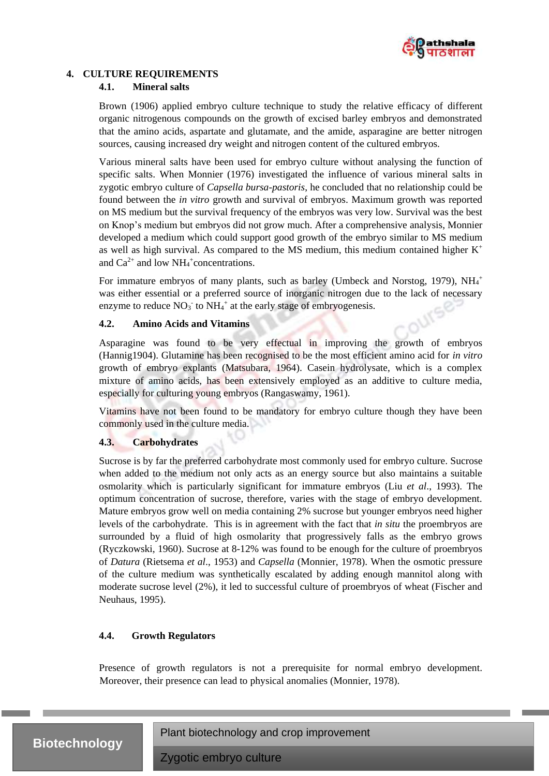

## **4. CULTURE REQUIREMENTS**

## **4.1. Mineral salts**

Brown (1906) applied embryo culture technique to study the relative efficacy of different organic nitrogenous compounds on the growth of excised barley embryos and demonstrated that the amino acids, aspartate and glutamate, and the amide, asparagine are better nitrogen sources, causing increased dry weight and nitrogen content of the cultured embryos.

Various mineral salts have been used for embryo culture without analysing the function of specific salts. When Monnier (1976) investigated the influence of various mineral salts in zygotic embryo culture of *Capsella bursa*-*pastoris*, he concluded that no relationship could be found between the *in vitro* growth and survival of embryos. Maximum growth was reported on MS medium but the survival frequency of the embryos was very low. Survival was the best on Knop's medium but embryos did not grow much. After a comprehensive analysis, Monnier developed a medium which could support good growth of the embryo similar to MS medium as well as high survival. As compared to the MS medium, this medium contained higher  $K^+$ and  $Ca^{2+}$  and low NH<sub>4</sub><sup>+</sup>concentrations.

For immature embryos of many plants, such as barley (Umbeck and Norstog, 1979),  $NH_4^+$ was either essential or a preferred source of inorganic nitrogen due to the lack of necessary enzyme to reduce  $NO_3^-$  to  $NH_4^+$  at the early stage of embryogenesis.

## **4.2. Amino Acids and Vitamins**

Asparagine was found to be very effectual in improving the growth of embryos (Hannig1904). Glutamine has been recognised to be the most efficient amino acid for *in vitro* growth of embryo explants (Matsubara, 1964). Casein hydrolysate, which is a complex mixture of amino acids, has been extensively employed as an additive to culture media, especially for culturing young embryos (Rangaswamy, 1961).

Vitamins have not been found to be mandatory for embryo culture though they have been commonly used in the culture media.

## **4.3. Carbohydrates**

Sucrose is by far the preferred carbohydrate most commonly used for embryo culture. Sucrose when added to the medium not only acts as an energy source but also maintains a suitable osmolarity which is particularly significant for immature embryos (Liu *et al*., 1993). The optimum concentration of sucrose, therefore, varies with the stage of embryo development. Mature embryos grow well on media containing 2% sucrose but younger embryos need higher levels of the carbohydrate. This is in agreement with the fact that *in situ* the proembryos are surrounded by a fluid of high osmolarity that progressively falls as the embryo grows (Ryczkowski, 1960). Sucrose at 8-12% was found to be enough for the culture of proembryos of *Datura* (Rietsema *et al*., 1953) and *Capsella* (Monnier, 1978). When the osmotic pressure of the culture medium was synthetically escalated by adding enough mannitol along with moderate sucrose level (2%), it led to successful culture of proembryos of wheat (Fischer and Neuhaus, 1995).

## **4.4. Growth Regulators**

Presence of growth regulators is not a prerequisite for normal embryo development. Moreover, their presence can lead to physical anomalies (Monnier, 1978).



Plant biotechnology and crop improvement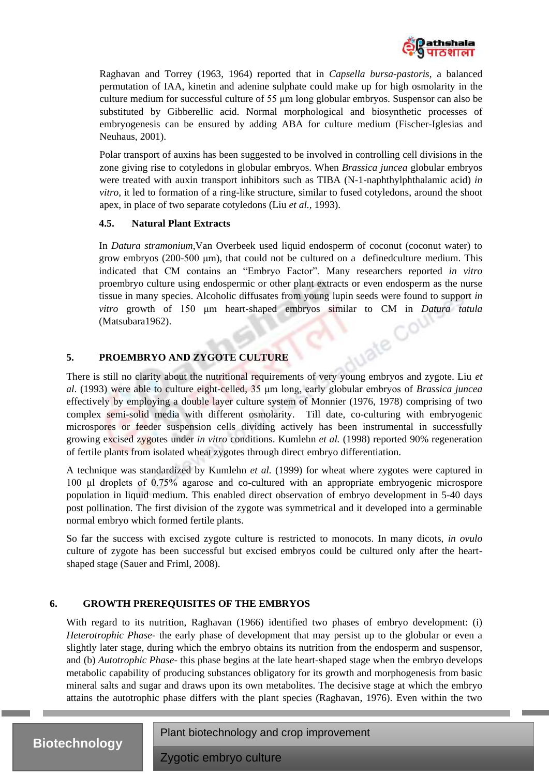

Raghavan and Torrey (1963, 1964) reported that in *Capsella bursa-pastoris*, a balanced permutation of IAA, kinetin and adenine sulphate could make up for high osmolarity in the culture medium for successful culture of 55 μm long globular embryos. Suspensor can also be substituted by Gibberellic acid. Normal morphological and biosynthetic processes of embryogenesis can be ensured by adding ABA for culture medium (Fischer-Iglesias and Neuhaus, 2001).

Polar transport of auxins has been suggested to be involved in controlling cell divisions in the zone giving rise to cotyledons in globular embryos. When *Brassica juncea* globular embryos were treated with auxin transport inhibitors such as TIBA (N-1-naphthylphthalamic acid) *in vitro*, it led to formation of a ring-like structure, similar to fused cotyledons, around the shoot apex, in place of two separate cotyledons (Liu *et al.,* 1993).

## **4.5. Natural Plant Extracts**

In *Datura stramonium*,Van Overbeek used liquid endosperm of coconut (coconut water) to grow embryos (200-500 μm)*,* that could not be cultured on a definedculture medium. This indicated that CM contains an "Embryo Factor". Many researchers reported *in vitro* proembryo culture using endospermic or other plant extracts or even endosperm as the nurse tissue in many species. Alcoholic diffusates from young lupin seeds were found to support *in vitro* growth of 150 μm heart-shaped embryos similar to CM in *Datura tatula* (Matsubara1962).

ie

## **5. PROEMBRYO AND ZYGOTE CULTURE**

There is still no clarity about the nutritional requirements of very young embryos and zygote. Liu *et al*. (1993) were able to culture eight-celled, 35 μm long, early globular embryos of *Brassica juncea* effectively by employing a double layer culture system of Monnier (1976, 1978) comprising of two complex semi-solid media with different osmolarity. Till date, co-culturing with embryogenic microspores or feeder suspension cells dividing actively has been instrumental in successfully growing excised zygotes under *in vitro* conditions. Kumlehn *et al.* (1998) reported 90% regeneration of fertile plants from isolated wheat zygotes through direct embryo differentiation.

A technique was standardized by Kumlehn *et al.* (1999) for wheat where zygotes were captured in 100 μl droplets of 0.75% agarose and co-cultured with an appropriate embryogenic microspore population in liquid medium. This enabled direct observation of embryo development in 5-40 days post pollination. The first division of the zygote was symmetrical and it developed into a germinable normal embryo which formed fertile plants.

So far the success with excised zygote culture is restricted to monocots. In many dicots, *in ovulo* culture of zygote has been successful but excised embryos could be cultured only after the heartshaped stage (Sauer and Friml, 2008).

## **6. GROWTH PREREQUISITES OF THE EMBRYOS**

With regard to its nutrition, Raghavan (1966) identified two phases of embryo development: (i) *Heterotrophic Phase*- the early phase of development that may persist up to the globular or even a slightly later stage, during which the embryo obtains its nutrition from the endosperm and suspensor, and (b) *Autotrophic Phase*- this phase begins at the late heart-shaped stage when the embryo develops metabolic capability of producing substances obligatory for its growth and morphogenesis from basic mineral salts and sugar and draws upon its own metabolites. The decisive stage at which the embryo attains the autotrophic phase differs with the plant species (Raghavan, 1976). Even within the two

Plant biotechnology and crop improvement

**Biotechnology**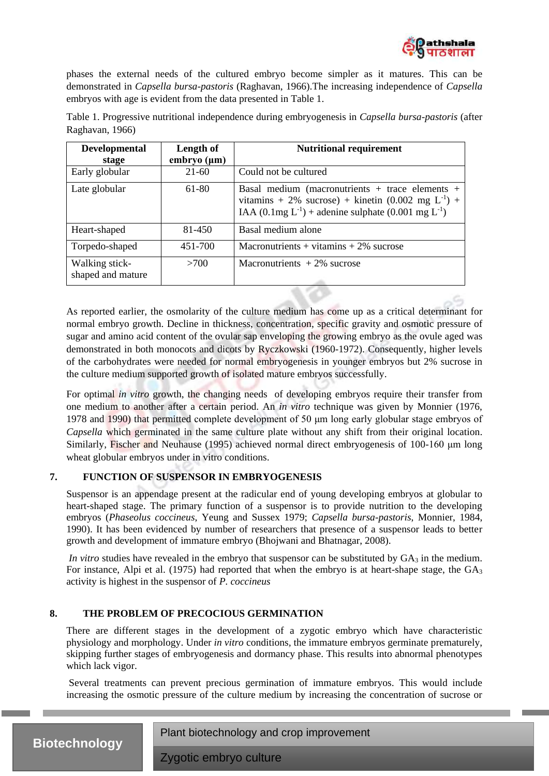

phases the external needs of the cultured embryo become simpler as it matures. This can be demonstrated in *Capsella bursa-pastoris* (Raghavan, 1966).The increasing independence of *Capsella* embryos with age is evident from the data presented in Table 1.

| <b>Developmental</b><br>stage       | Length of<br>$embryo$ ( $\mu$ m) | <b>Nutritional requirement</b>                                                                                                                                                                      |
|-------------------------------------|----------------------------------|-----------------------------------------------------------------------------------------------------------------------------------------------------------------------------------------------------|
| Early globular                      | $21-60$                          | Could not be cultured                                                                                                                                                                               |
| Late globular                       | 61-80                            | Basal medium (macronutrients + trace elements +<br>vitamins + 2% sucrose) + kinetin $(0.002 \text{ mg } L^{-1})$ +<br>IAA $(0.1 \text{mg } L^{-1})$ + adenine sulphate $(0.001 \text{ mg } L^{-1})$ |
| Heart-shaped                        | 81-450                           | Basal medium alone                                                                                                                                                                                  |
| Torpedo-shaped                      | 451-700                          | Macronutrients + vitamins $+2\%$ sucrose                                                                                                                                                            |
| Walking stick-<br>shaped and mature | >700                             | Macronutrients $+2\%$ sucrose                                                                                                                                                                       |

Table 1. Progressive nutritional independence during embryogenesis in *Capsella bursa-pastoris* (after Raghavan, 1966)

As reported earlier, the osmolarity of the culture medium has come up as a critical determinant for normal embryo growth. Decline in thickness, concentration, specific gravity and osmotic pressure of sugar and amino acid content of the ovular sap enveloping the growing embryo as the ovule aged was demonstrated in both monocots and dicots by Ryczkowski (1960-1972). Consequently, higher levels of the carbohydrates were needed for normal embryogenesis in younger embryos but 2% sucrose in the culture medium supported growth of isolated mature embryos successfully.

For optimal *in vitro* growth, the changing needs of developing embryos require their transfer from one medium to another after a certain period. An *in vitro* technique was given by Monnier (1976, 1978 and 1990) that permitted complete development of 50 μm long early globular stage embryos of *Capsella* which germinated in the same culture plate without any shift from their original location. Similarly, Fischer and Neuhause (1995) achieved normal direct embryogenesis of 100-160 μm long wheat globular embryos under in vitro conditions.

## **7. FUNCTION OF SUSPENSOR IN EMBRYOGENESIS**

Suspensor is an appendage present at the radicular end of young developing embryos at globular to heart-shaped stage. The primary function of a suspensor is to provide nutrition to the developing embryos (*Phaseolus coccineus*, Yeung and Sussex 1979; *Capsella bursa-pastoris*, Monnier, 1984, 1990). It has been evidenced by number of researchers that presence of a suspensor leads to better growth and development of immature embryo (Bhojwani and Bhatnagar, 2008).

*In vitro* studies have revealed in the embryo that suspensor can be substituted by GA<sub>3</sub> in the medium. For instance, Alpi et al. (1975) had reported that when the embryo is at heart-shape stage, the GA<sub>3</sub> activity is highest in the suspensor of *P. coccineus*

## **8. THE PROBLEM OF PRECOCIOUS GERMINATION**

There are different stages in the development of a zygotic embryo which have characteristic physiology and morphology. Under *in vitro* conditions*,* the immature embryos germinate prematurely, skipping further stages of embryogenesis and dormancy phase. This results into abnormal phenotypes which lack vigor.

Several treatments can prevent precious germination of immature embryos. This would include increasing the osmotic pressure of the culture medium by increasing the concentration of sucrose or

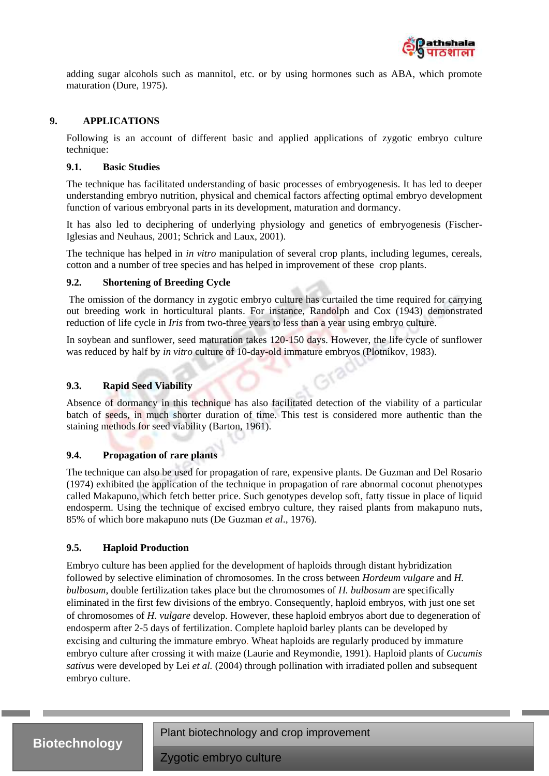

adding sugar alcohols such as mannitol, etc. or by using hormones such as ABA, which promote maturation (Dure, 1975).

#### **9. APPLICATIONS**

Following is an account of different basic and applied applications of zygotic embryo culture technique:

## **9.1. Basic Studies**

The technique has facilitated understanding of basic processes of embryogenesis. It has led to deeper understanding embryo nutrition, physical and chemical factors affecting optimal embryo development function of various embryonal parts in its development, maturation and dormancy.

It has also led to deciphering of underlying physiology and genetics of embryogenesis (Fischer-Iglesias and Neuhaus, 2001; Schrick and Laux, 2001).

The technique has helped in *in vitro* manipulation of several crop plants, including legumes, cereals, cotton and a number of tree species and has helped in improvement of these crop plants.

#### **9.2. Shortening of Breeding Cycle**

The omission of the dormancy in zygotic embryo culture has curtailed the time required for carrying out breeding work in horticultural plants. For instance, Randolph and Cox (1943) demonstrated reduction of life cycle in *Iris* from two-three years to less than a year using embryo culture.

In soybean and sunflower, seed maturation takes 120-150 days. However, the life cycle of sunflower was reduced by half by *in vitro* culture of 10-day-old immature embryos (Plotnikov, 1983).

#### **9.3. Rapid Seed Viability**

Absence of dormancy in this technique has also facilitated detection of the viability of a particular batch of seeds, in much shorter duration of time. This test is considered more authentic than the staining methods for seed viability (Barton, 1961).

#### **9.4. Propagation of rare plants**

The technique can also be used for propagation of rare, expensive plants. De Guzman and Del Rosario (1974) exhibited the application of the technique in propagation of rare abnormal coconut phenotypes called Makapuno, which fetch better price. Such genotypes develop soft, fatty tissue in place of liquid endosperm. Using the technique of excised embryo culture, they raised plants from makapuno nuts, 85% of which bore makapuno nuts (De Guzman *et al*., 1976).

## **9.5. Haploid Production**

Embryo culture has been applied for the development of haploids through distant hybridization followed by selective elimination of chromosomes. In the cross between *Hordeum vulgare* and *H. bulbosum*, double fertilization takes place but the chromosomes of *H. bulbosum* are specifically eliminated in the first few divisions of the embryo. Consequently, haploid embryos, with just one set of chromosomes of *H. vulgare* develop. However, these haploid embryos abort due to degeneration of endosperm after 2-5 days of fertilization. Complete haploid barley plants can be developed by excising and culturing the immature embryo. Wheat haploids are regularly produced by immature embryo culture after crossing it with maize (Laurie and Reymondie, 1991). Haploid plants of *Cucumis sativus* were developed by Lei *et al.* (2004) through pollination with irradiated pollen and subsequent embryo culture.

## **Biotechnology**

Plant biotechnology and crop improvement